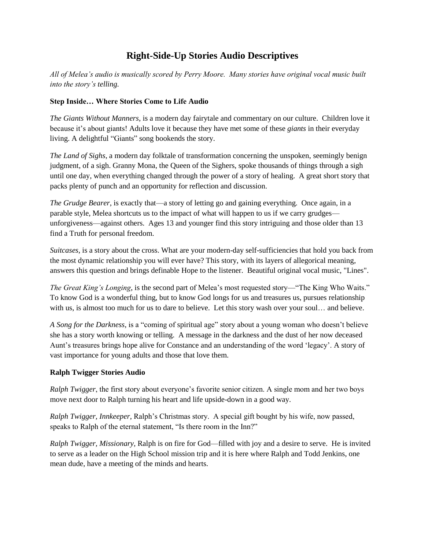# **Right-Side-Up Stories Audio Descriptives**

*All of Melea's audio is musically scored by Perry Moore. Many stories have original vocal music built into the story's telling.*

# **Step Inside… Where Stories Come to Life Audio**

*The Giants Without Manners*, is a modern day fairytale and commentary on our culture. Children love it because it"s about giants! Adults love it because they have met some of these *giants* in their everyday living. A delightful "Giants" song bookends the story.

*The Land of Sighs*, a modern day folktale of transformation concerning the unspoken, seemingly benign judgment, of a sigh. Granny Mona, the Queen of the Sighers, spoke thousands of things through a sigh until one day, when everything changed through the power of a story of healing. A great short story that packs plenty of punch and an opportunity for reflection and discussion.

*The Grudge Bearer*, is exactly that—a story of letting go and gaining everything. Once again, in a parable style, Melea shortcuts us to the impact of what will happen to us if we carry grudges unforgiveness—against others. Ages 13 and younger find this story intriguing and those older than 13 find a Truth for personal freedom.

*Suitcases*, is a story about the cross. What are your modern-day self-sufficiencies that hold you back from the most dynamic relationship you will ever have? This story, with its layers of allegorical meaning, answers this question and brings definable Hope to the listener. Beautiful original vocal music, "Lines".

*The Great King's Longing*, is the second part of Melea's most requested story—"The King Who Waits." To know God is a wonderful thing, but to know God longs for us and treasures us, pursues relationship with us, is almost too much for us to dare to believe. Let this story wash over your soul... and believe.

*A Song for the Darkness*, is a "coming of spiritual age" story about a young woman who doesn"t believe she has a story worth knowing or telling. A message in the darkness and the dust of her now deceased Aunt"s treasures brings hope alive for Constance and an understanding of the word "legacy". A story of vast importance for young adults and those that love them.

# **Ralph Twigger Stories Audio**

*Ralph Twigger*, the first story about everyone's favorite senior citizen. A single mom and her two boys move next door to Ralph turning his heart and life upside-down in a good way.

*Ralph Twigger, Innkeeper*, Ralph"s Christmas story. A special gift bought by his wife, now passed, speaks to Ralph of the eternal statement, "Is there room in the Inn?"

*Ralph Twigger, Missionary,* Ralph is on fire for God—filled with joy and a desire to serve. He is invited to serve as a leader on the High School mission trip and it is here where Ralph and Todd Jenkins, one mean dude, have a meeting of the minds and hearts.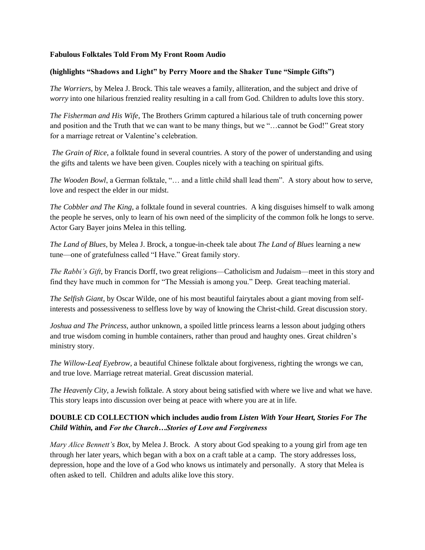#### **Fabulous Folktales Told From My Front Room Audio**

#### **(highlights "Shadows and Light" by Perry Moore and the Shaker Tune "Simple Gifts")**

*The Worriers*, by Melea J. Brock. This tale weaves a family, alliteration, and the subject and drive of *worry* into one hilarious frenzied reality resulting in a call from God. Children to adults love this story.

*The Fisherman and His Wife*, The Brothers Grimm captured a hilarious tale of truth concerning power and position and the Truth that we can want to be many things, but we "…cannot be God!" Great story for a marriage retreat or Valentine's celebration.

*The Grain of Rice*, a folktale found in several countries. A story of the power of understanding and using the gifts and talents we have been given. Couples nicely with a teaching on spiritual gifts.

*The Wooden Bowl*, a German folktale, "… and a little child shall lead them". A story about how to serve, love and respect the elder in our midst.

*The Cobbler and The King*, a folktale found in several countries. A king disguises himself to walk among the people he serves, only to learn of his own need of the simplicity of the common folk he longs to serve. Actor Gary Bayer joins Melea in this telling.

*The Land of Blues,* by Melea J. Brock, a tongue-in-cheek tale about *The Land of Blues* learning a new tune—one of gratefulness called "I Have." Great family story.

*The Rabbi's Gift*, by Francis Dorff, two great religions—Catholicism and Judaism—meet in this story and find they have much in common for "The Messiah is among you." Deep. Great teaching material.

*The Selfish Giant*, by Oscar Wilde, one of his most beautiful fairytales about a giant moving from selfinterests and possessiveness to selfless love by way of knowing the Christ-child. Great discussion story.

*Joshua and The Princess,* author unknown*,* a spoiled little princess learns a lesson about judging others and true wisdom coming in humble containers, rather than proud and haughty ones. Great children"s ministry story.

*The Willow-Leaf Eyebrow*, a beautiful Chinese folktale about forgiveness, righting the wrongs we can, and true love. Marriage retreat material. Great discussion material.

*The Heavenly City,* a Jewish folktale. A story about being satisfied with where we live and what we have. This story leaps into discussion over being at peace with where you are at in life.

# **DOUBLE CD COLLECTION which includes audio from** *Listen With Your Heart, Stories For The Child Within,* **and** *For the Church…Stories of Love and Forgiveness*

*Mary Alice Bennett's Box*, by Melea J. Brock. A story about God speaking to a young girl from age ten through her later years, which began with a box on a craft table at a camp. The story addresses loss, depression, hope and the love of a God who knows us intimately and personally. A story that Melea is often asked to tell. Children and adults alike love this story.